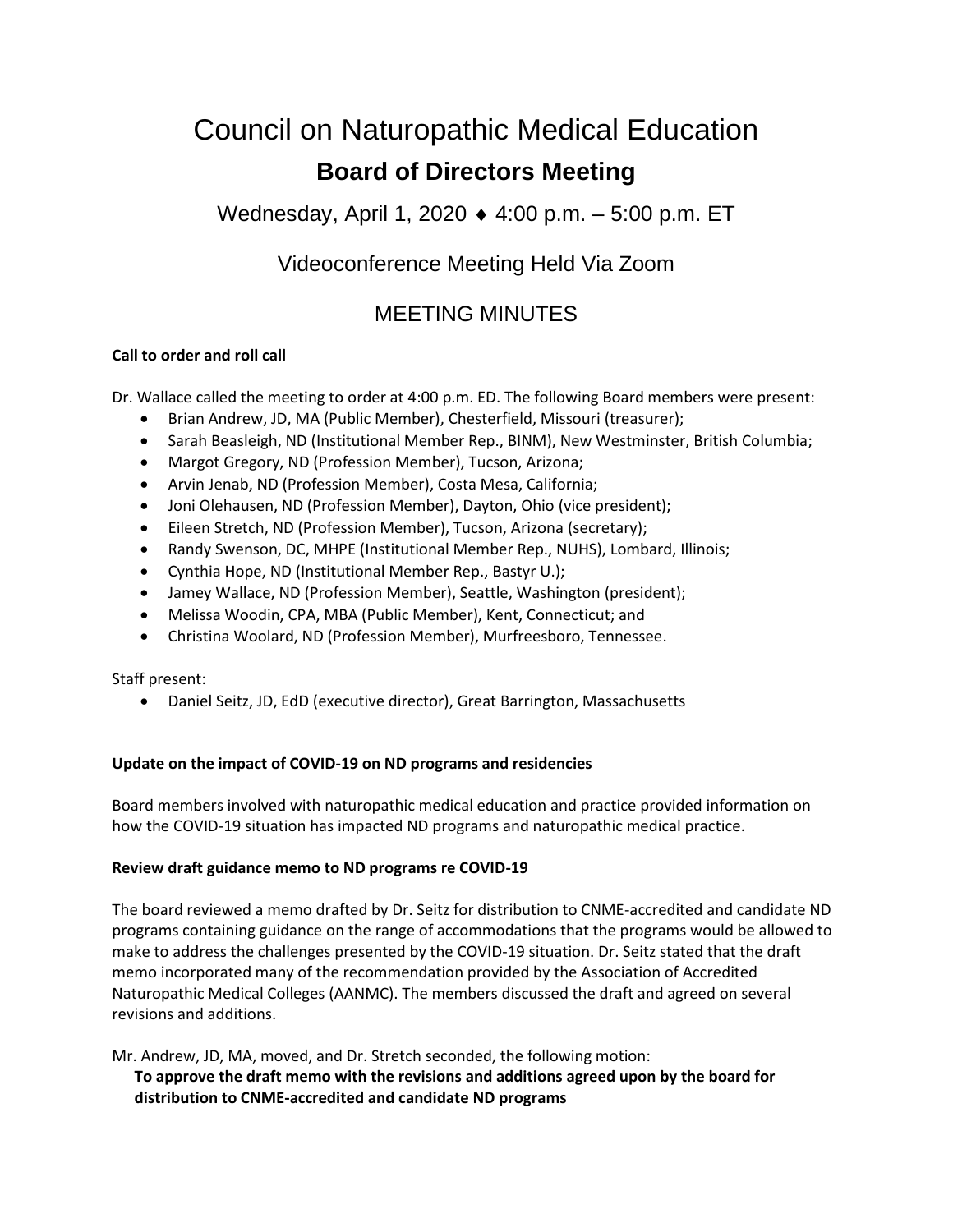# Council on Naturopathic Medical Education **Board of Directors Meeting**

Wednesday, April 1, 2020 4:00 p.m. – 5:00 p.m. ET

# Videoconference Meeting Held Via Zoom

# MEETING MINUTES

## **Call to order and roll call**

Dr. Wallace called the meeting to order at 4:00 p.m. ED. The following Board members were present:

- Brian Andrew, JD, MA (Public Member), Chesterfield, Missouri (treasurer);
- Sarah Beasleigh, ND (Institutional Member Rep., BINM), New Westminster, British Columbia;
- Margot Gregory, ND (Profession Member), Tucson, Arizona;
- Arvin Jenab, ND (Profession Member), Costa Mesa, California;
- Joni Olehausen, ND (Profession Member), Dayton, Ohio (vice president);
- Eileen Stretch, ND (Profession Member), Tucson, Arizona (secretary);
- Randy Swenson, DC, MHPE (Institutional Member Rep., NUHS), Lombard, Illinois;
- Cynthia Hope, ND (Institutional Member Rep., Bastyr U.);
- Jamey Wallace, ND (Profession Member), Seattle, Washington (president);
- Melissa Woodin, CPA, MBA (Public Member), Kent, Connecticut; and
- Christina Woolard, ND (Profession Member), Murfreesboro, Tennessee.

Staff present:

• Daniel Seitz, JD, EdD (executive director), Great Barrington, Massachusetts

## **Update on the impact of COVID-19 on ND programs and residencies**

Board members involved with naturopathic medical education and practice provided information on how the COVID-19 situation has impacted ND programs and naturopathic medical practice.

## **Review draft guidance memo to ND programs re COVID-19**

The board reviewed a memo drafted by Dr. Seitz for distribution to CNME-accredited and candidate ND programs containing guidance on the range of accommodations that the programs would be allowed to make to address the challenges presented by the COVID-19 situation. Dr. Seitz stated that the draft memo incorporated many of the recommendation provided by the Association of Accredited Naturopathic Medical Colleges (AANMC). The members discussed the draft and agreed on several revisions and additions.

Mr. Andrew, JD, MA, moved, and Dr. Stretch seconded, the following motion:

**To approve the draft memo with the revisions and additions agreed upon by the board for distribution to CNME-accredited and candidate ND programs**